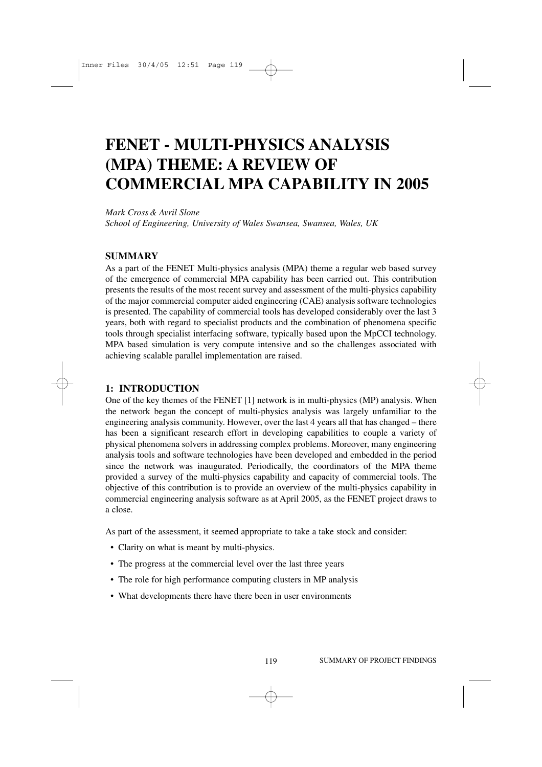# **FENET - MULTI-PHYSICS ANALYSIS (MPA) THEME: A REVIEW OF COMMERCIAL MPA CAPABILITY IN 2005**

*Mark Cross & Avril Slone School of Engineering, University of Wales Swansea, Swansea, Wales, UK* 

## **SUMMARY**

As a part of the FENET Multi-physics analysis (MPA) theme a regular web based survey of the emergence of commercial MPA capability has been carried out. This contribution presents the results of the most recent survey and assessment of the multi-physics capability of the major commercial computer aided engineering (CAE) analysis software technologies is presented. The capability of commercial tools has developed considerably over the last 3 years, both with regard to specialist products and the combination of phenomena specific tools through specialist interfacing software, typically based upon the MpCCI technology. MPA based simulation is very compute intensive and so the challenges associated with achieving scalable parallel implementation are raised.

#### **1: INTRODUCTION**

One of the key themes of the FENET [1] network is in multi-physics (MP) analysis. When the network began the concept of multi-physics analysis was largely unfamiliar to the engineering analysis community. However, over the last 4 years all that has changed – there has been a significant research effort in developing capabilities to couple a variety of physical phenomena solvers in addressing complex problems. Moreover, many engineering analysis tools and software technologies have been developed and embedded in the period since the network was inaugurated. Periodically, the coordinators of the MPA theme provided a survey of the multi-physics capability and capacity of commercial tools. The objective of this contribution is to provide an overview of the multi-physics capability in commercial engineering analysis software as at April 2005, as the FENET project draws to a close.

As part of the assessment, it seemed appropriate to take a take stock and consider:

- Clarity on what is meant by multi-physics.
- The progress at the commercial level over the last three years
- The role for high performance computing clusters in MP analysis
- What developments there have there been in user environments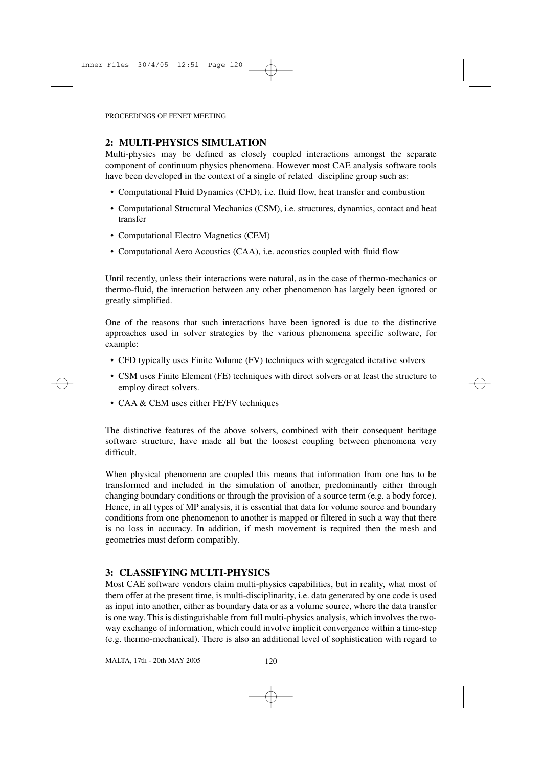## **2: MULTI-PHYSICS SIMULATION**

Multi-physics may be defined as closely coupled interactions amongst the separate component of continuum physics phenomena. However most CAE analysis software tools have been developed in the context of a single of related discipline group such as:

- Computational Fluid Dynamics (CFD), i.e. fluid flow, heat transfer and combustion
- Computational Structural Mechanics (CSM), i.e. structures, dynamics, contact and heat transfer
- Computational Electro Magnetics (CEM)
- Computational Aero Acoustics (CAA), i.e. acoustics coupled with fluid flow

Until recently, unless their interactions were natural, as in the case of thermo-mechanics or thermo-fluid, the interaction between any other phenomenon has largely been ignored or greatly simplified.

One of the reasons that such interactions have been ignored is due to the distinctive approaches used in solver strategies by the various phenomena specific software, for example:

- CFD typically uses Finite Volume (FV) techniques with segregated iterative solvers
- CSM uses Finite Element (FE) techniques with direct solvers or at least the structure to employ direct solvers.
- CAA & CEM uses either FE/FV techniques

The distinctive features of the above solvers, combined with their consequent heritage software structure, have made all but the loosest coupling between phenomena very difficult.

When physical phenomena are coupled this means that information from one has to be transformed and included in the simulation of another, predominantly either through changing boundary conditions or through the provision of a source term (e.g. a body force). Hence, in all types of MP analysis, it is essential that data for volume source and boundary conditions from one phenomenon to another is mapped or filtered in such a way that there is no loss in accuracy. In addition, if mesh movement is required then the mesh and geometries must deform compatibly.

## **3: CLASSIFYING MULTI-PHYSICS**

Most CAE software vendors claim multi-physics capabilities, but in reality, what most of them offer at the present time, is multi-disciplinarity, i.e. data generated by one code is used as input into another, either as boundary data or as a volume source, where the data transfer is one way. This is distinguishable from full multi-physics analysis, which involves the twoway exchange of information, which could involve implicit convergence within a time-step (e.g. thermo-mechanical). There is also an additional level of sophistication with regard to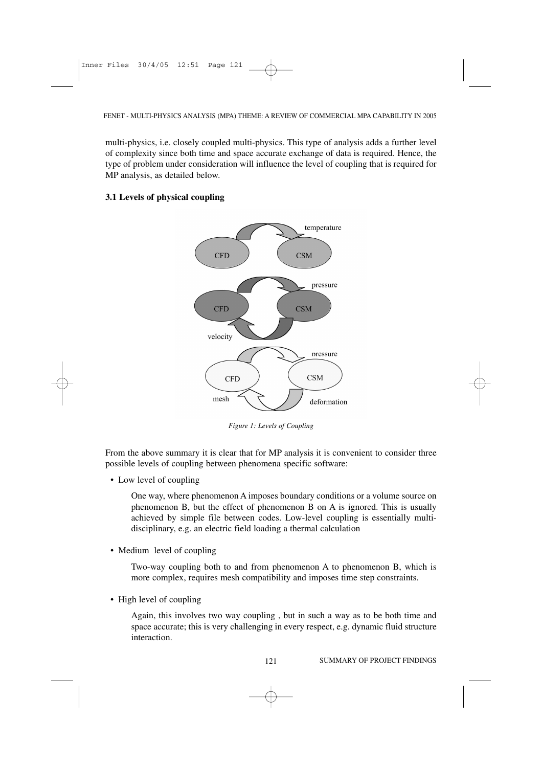multi-physics, i.e. closely coupled multi-physics. This type of analysis adds a further level of complexity since both time and space accurate exchange of data is required. Hence, the type of problem under consideration will influence the level of coupling that is required for MP analysis, as detailed below.

#### **3.1 Levels of physical coupling**



*Figure 1: Levels of Coupling*

From the above summary it is clear that for MP analysis it is convenient to consider three possible levels of coupling between phenomena specific software:

• Low level of coupling

One way, where phenomenon A imposes boundary conditions or a volume source on phenomenon B, but the effect of phenomenon B on A is ignored. This is usually achieved by simple file between codes. Low-level coupling is essentially multidisciplinary, e.g. an electric field loading a thermal calculation

• Medium level of coupling

Two-way coupling both to and from phenomenon A to phenomenon B, which is more complex, requires mesh compatibility and imposes time step constraints.

• High level of coupling

Again, this involves two way coupling , but in such a way as to be both time and space accurate; this is very challenging in every respect, e.g. dynamic fluid structure interaction.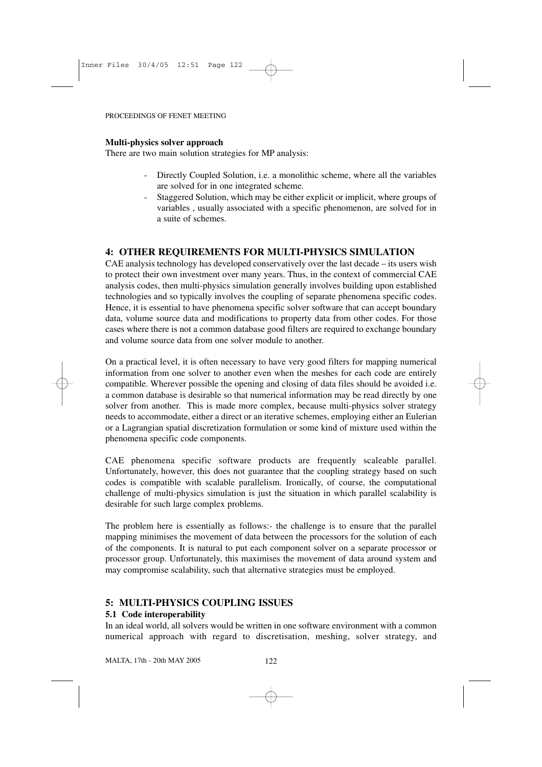## **Multi-physics solver approach**

There are two main solution strategies for MP analysis:

- Directly Coupled Solution, i.e. a monolithic scheme, where all the variables are solved for in one integrated scheme.
- Staggered Solution, which may be either explicit or implicit, where groups of variables , usually associated with a specific phenomenon, are solved for in a suite of schemes.

# **4: OTHER REQUIREMENTS FOR MULTI-PHYSICS SIMULATION**

CAE analysis technology has developed conservatively over the last decade – its users wish to protect their own investment over many years. Thus, in the context of commercial CAE analysis codes, then multi-physics simulation generally involves building upon established technologies and so typically involves the coupling of separate phenomena specific codes. Hence, it is essential to have phenomena specific solver software that can accept boundary data, volume source data and modifications to property data from other codes. For those cases where there is not a common database good filters are required to exchange boundary and volume source data from one solver module to another.

On a practical level, it is often necessary to have very good filters for mapping numerical information from one solver to another even when the meshes for each code are entirely compatible. Wherever possible the opening and closing of data files should be avoided i.e. a common database is desirable so that numerical information may be read directly by one solver from another. This is made more complex, because multi-physics solver strategy needs to accommodate, either a direct or an iterative schemes, employing either an Eulerian or a Lagrangian spatial discretization formulation or some kind of mixture used within the phenomena specific code components.

CAE phenomena specific software products are frequently scaleable parallel. Unfortunately, however, this does not guarantee that the coupling strategy based on such codes is compatible with scalable parallelism. Ironically, of course, the computational challenge of multi-physics simulation is just the situation in which parallel scalability is desirable for such large complex problems.

The problem here is essentially as follows:- the challenge is to ensure that the parallel mapping minimises the movement of data between the processors for the solution of each of the components. It is natural to put each component solver on a separate processor or processor group. Unfortunately, this maximises the movement of data around system and may compromise scalability, such that alternative strategies must be employed.

# **5: MULTI-PHYSICS COUPLING ISSUES**

# **5.1 Code interoperability**

In an ideal world, all solvers would be written in one software environment with a common numerical approach with regard to discretisation, meshing, solver strategy, and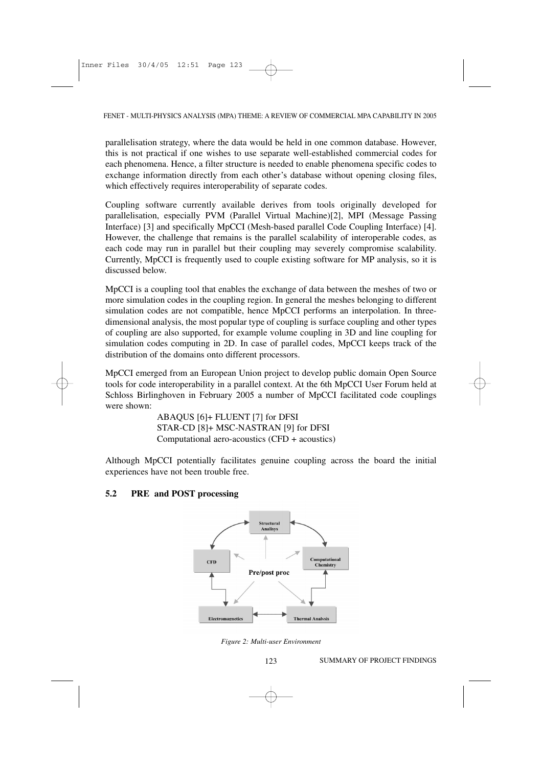parallelisation strategy, where the data would be held in one common database. However, this is not practical if one wishes to use separate well-established commercial codes for each phenomena. Hence, a filter structure is needed to enable phenomena specific codes to exchange information directly from each other's database without opening closing files, which effectively requires interoperability of separate codes.

Coupling software currently available derives from tools originally developed for parallelisation, especially PVM (Parallel Virtual Machine)[2], MPI (Message Passing Interface) [3] and specifically MpCCI (Mesh-based parallel Code Coupling Interface) [4]. However, the challenge that remains is the parallel scalability of interoperable codes, as each code may run in parallel but their coupling may severely compromise scalability. Currently, MpCCI is frequently used to couple existing software for MP analysis, so it is discussed below.

MpCCI is a coupling tool that enables the exchange of data between the meshes of two or more simulation codes in the coupling region. In general the meshes belonging to different simulation codes are not compatible, hence MpCCI performs an interpolation. In threedimensional analysis, the most popular type of coupling is surface coupling and other types of coupling are also supported, for example volume coupling in 3D and line coupling for simulation codes computing in 2D. In case of parallel codes, MpCCI keeps track of the distribution of the domains onto different processors.

MpCCI emerged from an European Union project to develop public domain Open Source tools for code interoperability in a parallel context. At the 6th MpCCI User Forum held at Schloss Birlinghoven in February 2005 a number of MpCCI facilitated code couplings were shown:

> ABAQUS [6]+ FLUENT [7] for DFSI STAR-CD [8]+ MSC-NASTRAN [9] for DFSI Computational aero-acoustics (CFD + acoustics)

Although MpCCI potentially facilitates genuine coupling across the board the initial experiences have not been trouble free.

#### **5.2 PRE and POST processing**



*Figure 2: Multi-user Environment*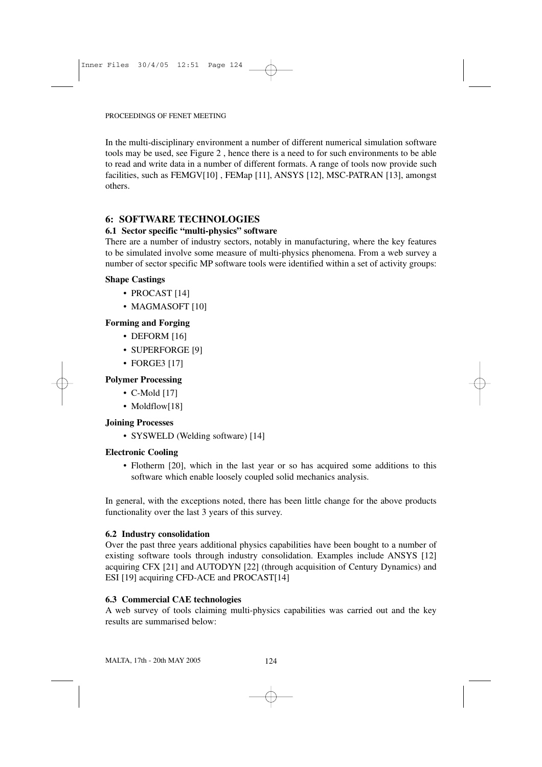In the multi-disciplinary environment a number of different numerical simulation software tools may be used, see Figure 2 , hence there is a need to for such environments to be able to read and write data in a number of different formats. A range of tools now provide such facilities, such as FEMGV[10] , FEMap [11], ANSYS [12], MSC-PATRAN [13], amongst others.

## **6: SOFTWARE TECHNOLOGIES**

#### **6.1 Sector specific "multi-physics" software**

There are a number of industry sectors, notably in manufacturing, where the key features to be simulated involve some measure of multi-physics phenomena. From a web survey a number of sector specific MP software tools were identified within a set of activity groups:

#### **Shape Castings**

- PROCAST [14]
- MAGMASOFT [10]

## **Forming and Forging**

- DEFORM [16]
- SUPERFORGE [9]
- FORGE3 [17]

### **Polymer Processing**

- C-Mold [17]
- Moldflow[18]

#### **Joining Processes**

• SYSWELD (Welding software) [14]

#### **Electronic Cooling**

• Flotherm [20], which in the last year or so has acquired some additions to this software which enable loosely coupled solid mechanics analysis.

In general, with the exceptions noted, there has been little change for the above products functionality over the last 3 years of this survey.

#### **6.2 Industry consolidation**

Over the past three years additional physics capabilities have been bought to a number of existing software tools through industry consolidation. Examples include ANSYS [12] acquiring CFX [21] and AUTODYN [22] (through acquisition of Century Dynamics) and ESI [19] acquiring CFD-ACE and PROCAST[14]

#### **6.3 Commercial CAE technologies**

A web survey of tools claiming multi-physics capabilities was carried out and the key results are summarised below: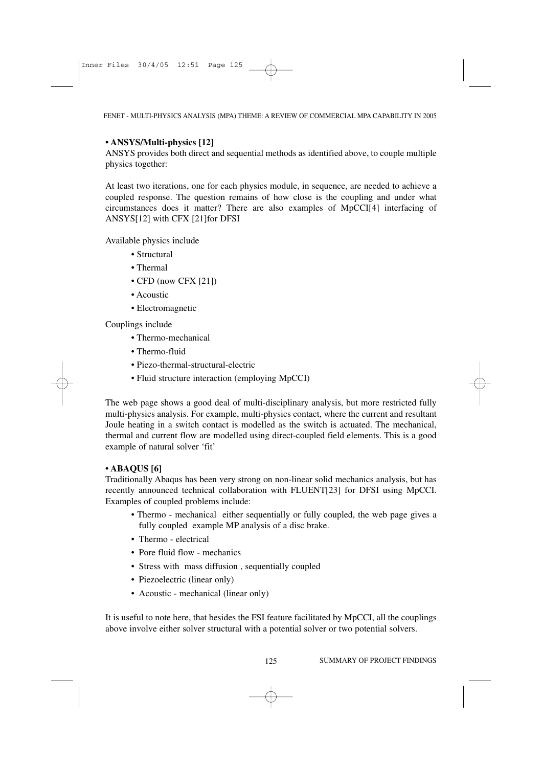FENET - MULTI-PHYSICS ANALYSIS (MPA) THEME: A REVIEW OF COMMERCIAL MPA CAPABILITY IN 2005

#### **• ANSYS/Multi-physics [12]**

ANSYS provides both direct and sequential methods as identified above, to couple multiple physics together:

At least two iterations, one for each physics module, in sequence, are needed to achieve a coupled response. The question remains of how close is the coupling and under what circumstances does it matter? There are also examples of MpCCI[4] interfacing of ANSYS[12] with CFX [21]for DFSI

Available physics include

- Structural
- Thermal
- CFD (now CFX [21])
- Acoustic
- Electromagnetic

#### Couplings include

- Thermo-mechanical
- Thermo-fluid
- Piezo-thermal-structural-electric
- Fluid structure interaction (employing MpCCI)

The web page shows a good deal of multi-disciplinary analysis, but more restricted fully multi-physics analysis. For example, multi-physics contact, where the current and resultant Joule heating in a switch contact is modelled as the switch is actuated. The mechanical, thermal and current flow are modelled using direct-coupled field elements. This is a good example of natural solver 'fit'

#### **• ABAQUS [6]**

Traditionally Abaqus has been very strong on non-linear solid mechanics analysis, but has recently announced technical collaboration with FLUENT[23] for DFSI using MpCCI. Examples of coupled problems include:

- Thermo mechanical either sequentially or fully coupled, the web page gives a fully coupled example MP analysis of a disc brake.
- Thermo electrical
- Pore fluid flow mechanics
- Stress with mass diffusion , sequentially coupled
- Piezoelectric (linear only)
- Acoustic mechanical (linear only)

It is useful to note here, that besides the FSI feature facilitated by MpCCI, all the couplings above involve either solver structural with a potential solver or two potential solvers.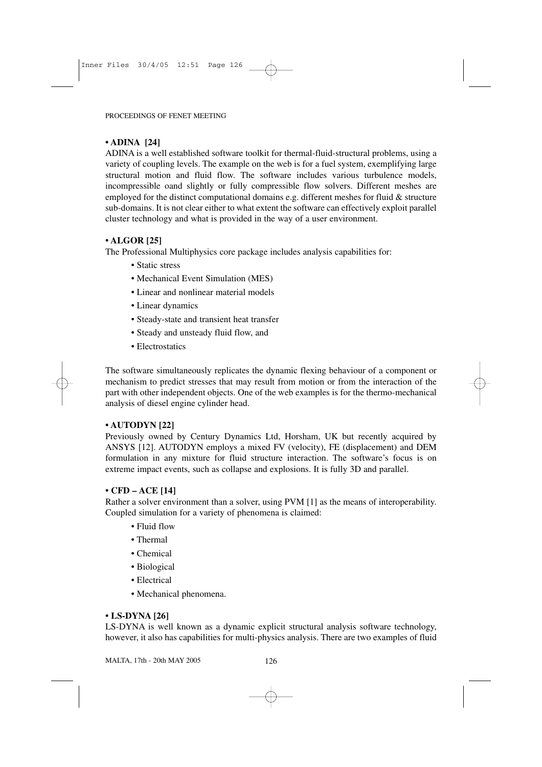### **• ADINA [24]**

ADINA is a well established software toolkit for thermal-fluid-structural problems, using a variety of coupling levels. The example on the web is for a fuel system, exemplifying large structural motion and fluid flow. The software includes various turbulence models, incompressible oand slightly or fully compressible flow solvers. Different meshes are employed for the distinct computational domains e.g. different meshes for fluid  $\&$  structure sub-domains. It is not clear either to what extent the software can effectively exploit parallel cluster technology and what is provided in the way of a user environment.

## **• ALGOR [25]**

The Professional Multiphysics core package includes analysis capabilities for:

- Static stress
- Mechanical Event Simulation (MES)
- Linear and nonlinear material models
- Linear dynamics
- Steady-state and transient heat transfer
- Steady and unsteady fluid flow, and
- Electrostatics

The software simultaneously replicates the dynamic flexing behaviour of a component or mechanism to predict stresses that may result from motion or from the interaction of the part with other independent objects. One of the web examples is for the thermo-mechanical analysis of diesel engine cylinder head.

#### **• AUTODYN [22]**

Previously owned by Century Dynamics Ltd, Horsham, UK but recently acquired by ANSYS [12]. AUTODYN employs a mixed FV (velocity), FE (displacement) and DEM formulation in any mixture for fluid structure interaction. The software's focus is on extreme impact events, such as collapse and explosions. It is fully 3D and parallel.

#### **• CFD – ACE [14]**

Rather a solver environment than a solver, using PVM [1] as the means of interoperability. Coupled simulation for a variety of phenomena is claimed:

- Fluid flow
- Thermal
- Chemical
- Biological
- Electrical
- Mechanical phenomena.

#### **• LS-DYNA [26]**

LS-DYNA is well known as a dynamic explicit structural analysis software technology, however, it also has capabilities for multi-physics analysis. There are two examples of fluid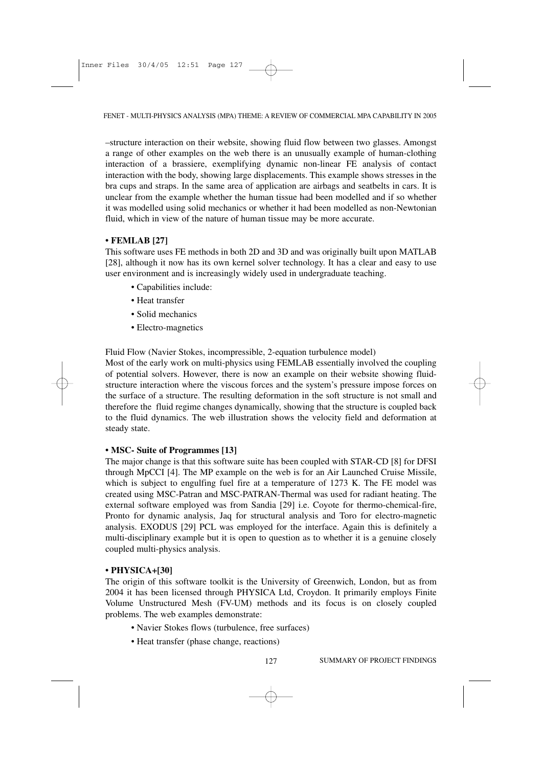–structure interaction on their website, showing fluid flow between two glasses. Amongst a range of other examples on the web there is an unusually example of human-clothing interaction of a brassiere, exemplifying dynamic non-linear FE analysis of contact interaction with the body, showing large displacements. This example shows stresses in the bra cups and straps. In the same area of application are airbags and seatbelts in cars. It is unclear from the example whether the human tissue had been modelled and if so whether it was modelled using solid mechanics or whether it had been modelled as non-Newtonian fluid, which in view of the nature of human tissue may be more accurate.

#### **• FEMLAB [27]**

This software uses FE methods in both 2D and 3D and was originally built upon MATLAB [28], although it now has its own kernel solver technology. It has a clear and easy to use user environment and is increasingly widely used in undergraduate teaching.

- Capabilities include:
- Heat transfer
- Solid mechanics
- Electro-magnetics

Fluid Flow (Navier Stokes, incompressible, 2-equation turbulence model)

Most of the early work on multi-physics using FEMLAB essentially involved the coupling of potential solvers. However, there is now an example on their website showing fluidstructure interaction where the viscous forces and the system's pressure impose forces on the surface of a structure. The resulting deformation in the soft structure is not small and therefore the fluid regime changes dynamically, showing that the structure is coupled back to the fluid dynamics. The web illustration shows the velocity field and deformation at steady state.

#### **• MSC- Suite of Programmes [13]**

The major change is that this software suite has been coupled with STAR-CD [8] for DFSI through MpCCI [4]. The MP example on the web is for an Air Launched Cruise Missile, which is subject to engulfing fuel fire at a temperature of 1273 K. The FE model was created using MSC-Patran and MSC-PATRAN-Thermal was used for radiant heating. The external software employed was from Sandia [29] i.e. Coyote for thermo-chemical-fire, Pronto for dynamic analysis, Jaq for structural analysis and Toro for electro-magnetic analysis. EXODUS [29] PCL was employed for the interface. Again this is definitely a multi-disciplinary example but it is open to question as to whether it is a genuine closely coupled multi-physics analysis.

#### **• PHYSICA+[30]**

The origin of this software toolkit is the University of Greenwich, London, but as from 2004 it has been licensed through PHYSICA Ltd, Croydon. It primarily employs Finite Volume Unstructured Mesh (FV-UM) methods and its focus is on closely coupled problems. The web examples demonstrate:

- Navier Stokes flows (turbulence, free surfaces)
- Heat transfer (phase change, reactions)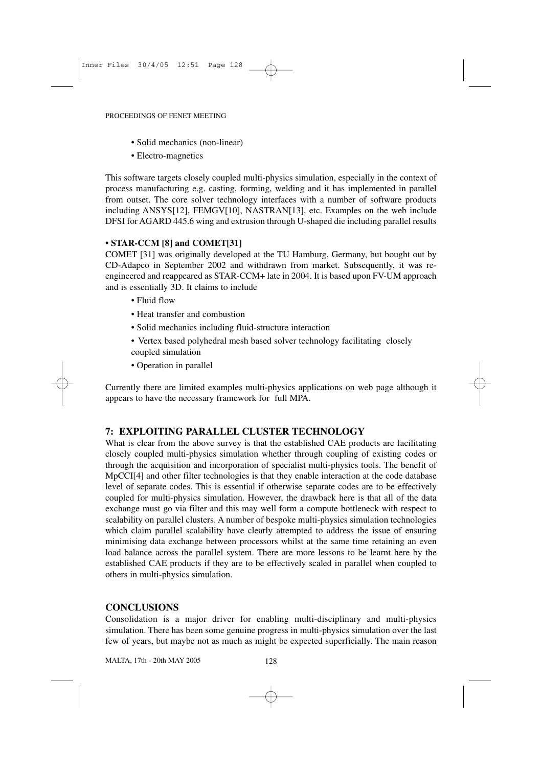- Solid mechanics (non-linear)
- Electro-magnetics

This software targets closely coupled multi-physics simulation, especially in the context of process manufacturing e.g. casting, forming, welding and it has implemented in parallel from outset. The core solver technology interfaces with a number of software products including ANSYS[12], FEMGV[10], NASTRAN[13], etc. Examples on the web include DFSI for AGARD 445.6 wing and extrusion through U-shaped die including parallel results

#### **• STAR-CCM [8] and COMET[31]**

COMET [31] was originally developed at the TU Hamburg, Germany, but bought out by CD-Adapco in September 2002 and withdrawn from market. Subsequently, it was reengineered and reappeared as STAR-CCM+ late in 2004. It is based upon FV-UM approach and is essentially 3D. It claims to include

- Fluid flow
- Heat transfer and combustion
- Solid mechanics including fluid-structure interaction
- Vertex based polyhedral mesh based solver technology facilitating closely coupled simulation
- Operation in parallel

Currently there are limited examples multi-physics applications on web page although it appears to have the necessary framework for full MPA.

#### **7: EXPLOITING PARALLEL CLUSTER TECHNOLOGY**

What is clear from the above survey is that the established CAE products are facilitating closely coupled multi-physics simulation whether through coupling of existing codes or through the acquisition and incorporation of specialist multi-physics tools. The benefit of MpCCI[4] and other filter technologies is that they enable interaction at the code database level of separate codes. This is essential if otherwise separate codes are to be effectively coupled for multi-physics simulation. However, the drawback here is that all of the data exchange must go via filter and this may well form a compute bottleneck with respect to scalability on parallel clusters. A number of bespoke multi-physics simulation technologies which claim parallel scalability have clearly attempted to address the issue of ensuring minimising data exchange between processors whilst at the same time retaining an even load balance across the parallel system. There are more lessons to be learnt here by the established CAE products if they are to be effectively scaled in parallel when coupled to others in multi-physics simulation.

#### **CONCLUSIONS**

Consolidation is a major driver for enabling multi-disciplinary and multi-physics simulation. There has been some genuine progress in multi-physics simulation over the last few of years, but maybe not as much as might be expected superficially. The main reason

MALTA, 17th - 20th MAY 2005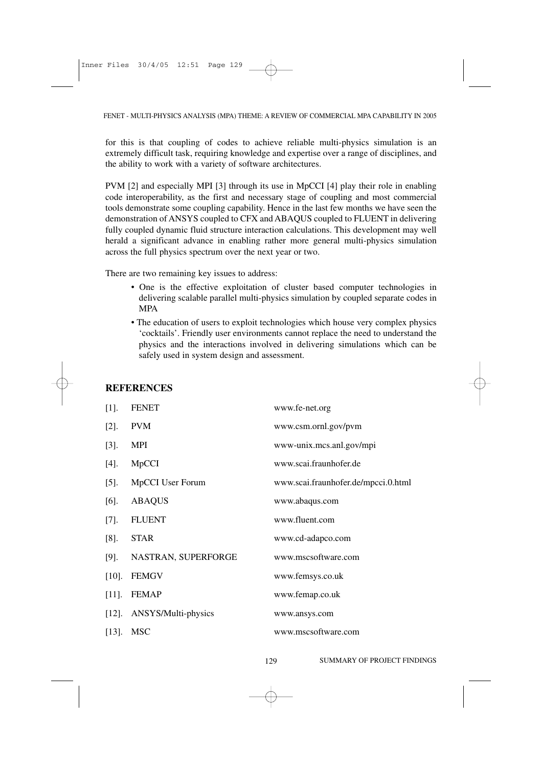for this is that coupling of codes to achieve reliable multi-physics simulation is an extremely difficult task, requiring knowledge and expertise over a range of disciplines, and the ability to work with a variety of software architectures.

PVM [2] and especially MPI [3] through its use in MpCCI [4] play their role in enabling code interoperability, as the first and necessary stage of coupling and most commercial tools demonstrate some coupling capability. Hence in the last few months we have seen the demonstration of ANSYS coupled to CFX and ABAQUS coupled to FLUENT in delivering fully coupled dynamic fluid structure interaction calculations. This development may well herald a significant advance in enabling rather more general multi-physics simulation across the full physics spectrum over the next year or two.

There are two remaining key issues to address:

- One is the effective exploitation of cluster based computer technologies in delivering scalable parallel multi-physics simulation by coupled separate codes in MPA
- The education of users to exploit technologies which house very complex physics 'cocktails'. Friendly user environments cannot replace the need to understand the physics and the interactions involved in delivering simulations which can be safely used in system design and assessment.

| $[1]$ .  | <b>FENET</b>            | www.fe-net.org                      |
|----------|-------------------------|-------------------------------------|
| $[2]$ .  | <b>PVM</b>              | www.csm.ornl.gov/pvm                |
| $[3]$ .  | <b>MPI</b>              | www-unix.mcs.anl.gov/mpi            |
| $[4]$ .  | MpCCI                   | www.scai.fraunhofer.de              |
| $[5]$ .  | <b>MpCCI User Forum</b> | www.scai.fraunhofer.de/mpcci.0.html |
| $[6]$ .  | <b>ABAQUS</b>           | www.abaqus.com                      |
| $[7].$   | <b>FLUENT</b>           | www.fluent.com                      |
| $[8]$ .  | <b>STAR</b>             | www.cd-adapco.com                   |
| $[9]$ .  | NASTRAN, SUPERFORGE     | www.mscsoftware.com                 |
| $[10]$ . | <b>FEMGV</b>            | www.femsys.co.uk                    |
| $[11]$ . | <b>FEMAP</b>            | www.femap.co.uk                     |
| $[12]$ . | ANSYS/Multi-physics     | www.ansys.com                       |
| $[13]$ . | <b>MSC</b>              | www.mscsoftware.com                 |

## **REFERENCES**